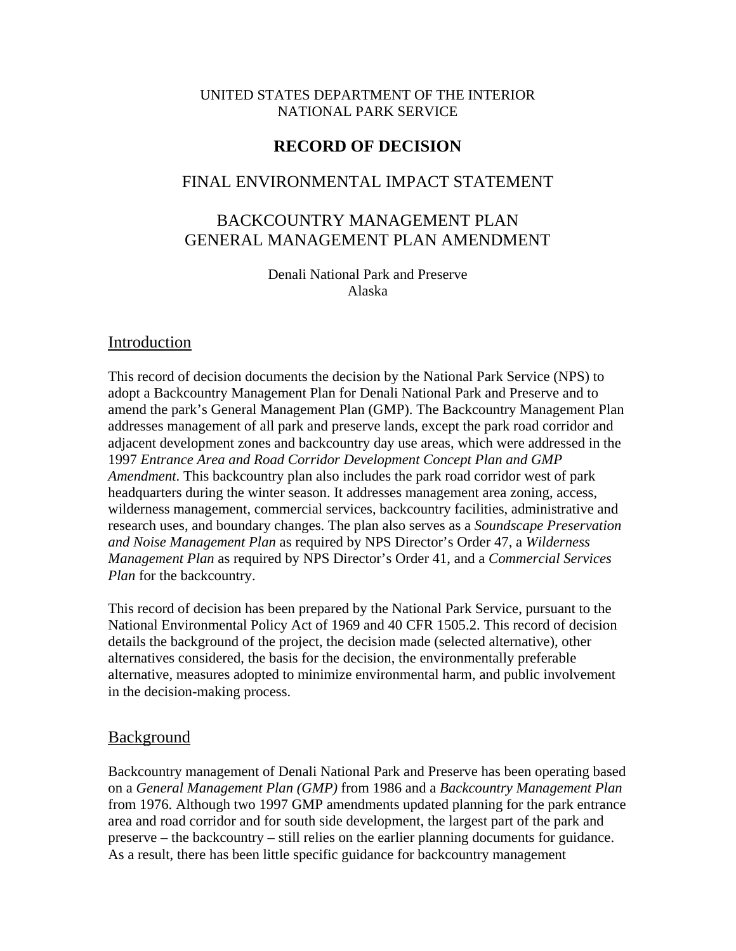#### UNITED STATES DEPARTMENT OF THE INTERIOR NATIONAL PARK SERVICE

### **RECORD OF DECISION**

### FINAL ENVIRONMENTAL IMPACT STATEMENT

# BACKCOUNTRY MANAGEMENT PLAN GENERAL MANAGEMENT PLAN AMENDMENT

Denali National Park and Preserve Alaska

### Introduction

This record of decision documents the decision by the National Park Service (NPS) to adopt a Backcountry Management Plan for Denali National Park and Preserve and to amend the park's General Management Plan (GMP). The Backcountry Management Plan addresses management of all park and preserve lands, except the park road corridor and adjacent development zones and backcountry day use areas, which were addressed in the 1997 *Entrance Area and Road Corridor Development Concept Plan and GMP Amendment*. This backcountry plan also includes the park road corridor west of park headquarters during the winter season. It addresses management area zoning, access, wilderness management, commercial services, backcountry facilities, administrative and research uses, and boundary changes. The plan also serves as a *Soundscape Preservation and Noise Management Plan* as required by NPS Director's Order 47, a *Wilderness Management Plan* as required by NPS Director's Order 41, and a *Commercial Services Plan* for the backcountry.

This record of decision has been prepared by the National Park Service, pursuant to the National Environmental Policy Act of 1969 and 40 CFR 1505.2. This record of decision details the background of the project, the decision made (selected alternative), other alternatives considered, the basis for the decision, the environmentally preferable alternative, measures adopted to minimize environmental harm, and public involvement in the decision-making process.

### **Background**

Backcountry management of Denali National Park and Preserve has been operating based on a *General Management Plan (GMP)* from 1986 and a *Backcountry Management Plan*  from 1976. Although two 1997 GMP amendments updated planning for the park entrance area and road corridor and for south side development, the largest part of the park and preserve – the backcountry – still relies on the earlier planning documents for guidance. As a result, there has been little specific guidance for backcountry management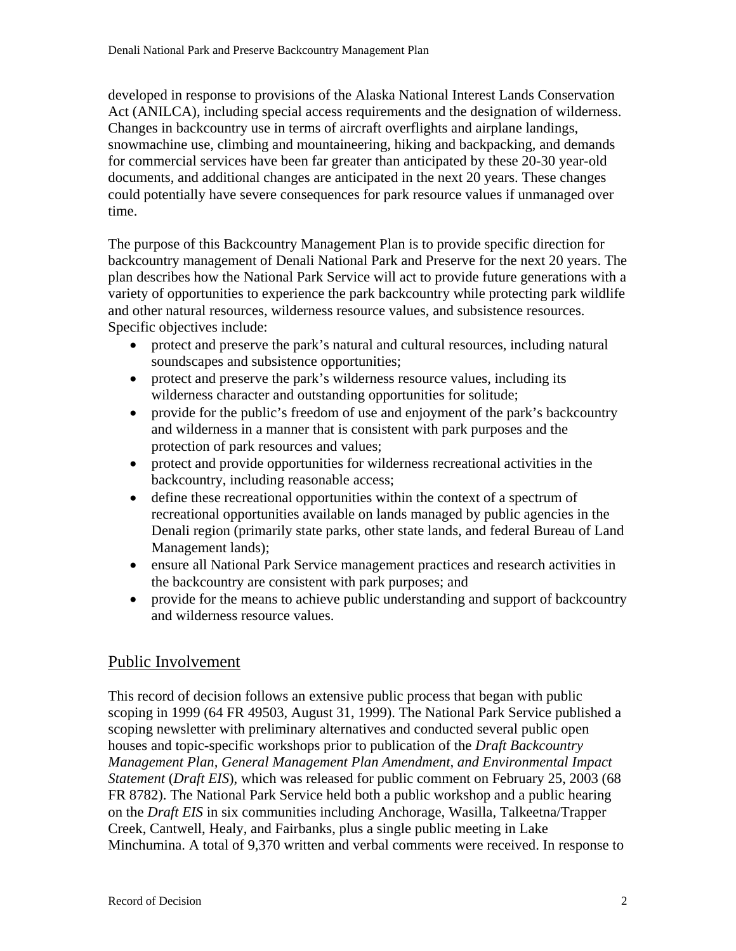developed in response to provisions of the Alaska National Interest Lands Conservation Act (ANILCA), including special access requirements and the designation of wilderness. Changes in backcountry use in terms of aircraft overflights and airplane landings, snowmachine use, climbing and mountaineering, hiking and backpacking, and demands for commercial services have been far greater than anticipated by these 20-30 year-old documents, and additional changes are anticipated in the next 20 years. These changes could potentially have severe consequences for park resource values if unmanaged over time.

The purpose of this Backcountry Management Plan is to provide specific direction for backcountry management of Denali National Park and Preserve for the next 20 years. The plan describes how the National Park Service will act to provide future generations with a variety of opportunities to experience the park backcountry while protecting park wildlife and other natural resources, wilderness resource values, and subsistence resources. Specific objectives include:

- protect and preserve the park's natural and cultural resources, including natural soundscapes and subsistence opportunities;
- protect and preserve the park's wilderness resource values, including its wilderness character and outstanding opportunities for solitude;
- provide for the public's freedom of use and enjoyment of the park's backcountry and wilderness in a manner that is consistent with park purposes and the protection of park resources and values;
- protect and provide opportunities for wilderness recreational activities in the backcountry, including reasonable access;
- define these recreational opportunities within the context of a spectrum of recreational opportunities available on lands managed by public agencies in the Denali region (primarily state parks, other state lands, and federal Bureau of Land Management lands);
- ensure all National Park Service management practices and research activities in the backcountry are consistent with park purposes; and
- provide for the means to achieve public understanding and support of backcountry and wilderness resource values.

# Public Involvement

This record of decision follows an extensive public process that began with public scoping in 1999 (64 FR 49503, August 31, 1999). The National Park Service published a scoping newsletter with preliminary alternatives and conducted several public open houses and topic-specific workshops prior to publication of the *Draft Backcountry Management Plan, General Management Plan Amendment, and Environmental Impact Statement* (*Draft EIS*), which was released for public comment on February 25, 2003 (68 FR 8782). The National Park Service held both a public workshop and a public hearing on the *Draft EIS* in six communities including Anchorage, Wasilla, Talkeetna/Trapper Creek, Cantwell, Healy, and Fairbanks, plus a single public meeting in Lake Minchumina. A total of 9,370 written and verbal comments were received. In response to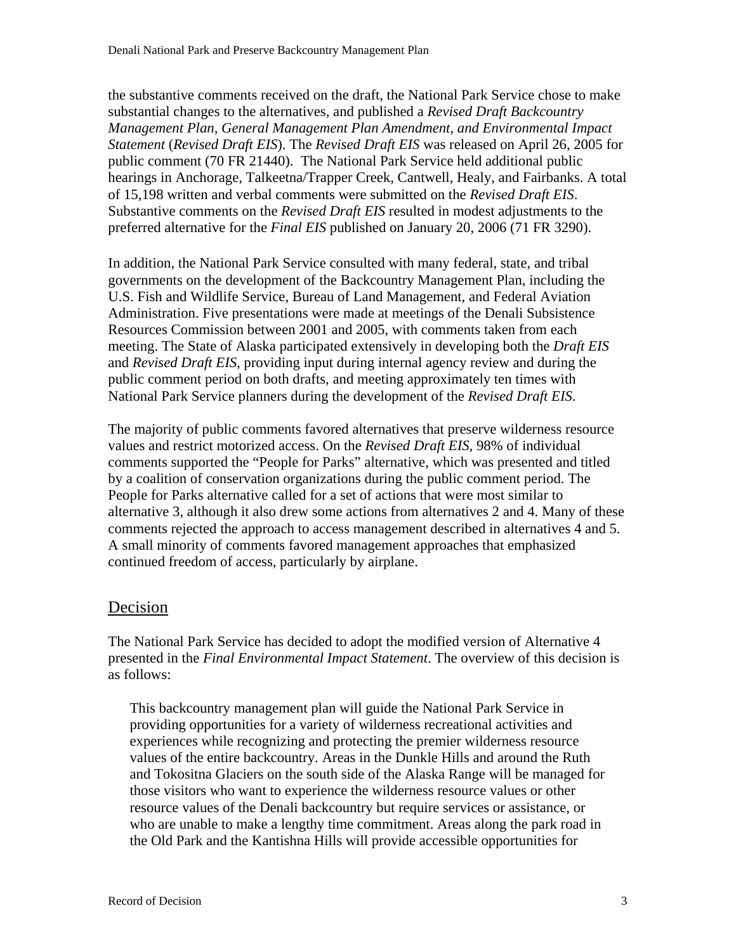the substantive comments received on the draft, the National Park Service chose to make substantial changes to the alternatives, and published a *Revised Draft Backcountry Management Plan, General Management Plan Amendment, and Environmental Impact Statement* (*Revised Draft EIS*). The *Revised Draft EIS* was released on April 26, 2005 for public comment (70 FR 21440). The National Park Service held additional public hearings in Anchorage, Talkeetna/Trapper Creek, Cantwell, Healy, and Fairbanks. A total of 15,198 written and verbal comments were submitted on the *Revised Draft EIS*. Substantive comments on the *Revised Draft EIS* resulted in modest adjustments to the preferred alternative for the *Final EIS* published on January 20, 2006 (71 FR 3290).

In addition, the National Park Service consulted with many federal, state, and tribal governments on the development of the Backcountry Management Plan, including the U.S. Fish and Wildlife Service, Bureau of Land Management, and Federal Aviation Administration. Five presentations were made at meetings of the Denali Subsistence Resources Commission between 2001 and 2005, with comments taken from each meeting. The State of Alaska participated extensively in developing both the *Draft EIS*  and *Revised Draft EIS*, providing input during internal agency review and during the public comment period on both drafts, and meeting approximately ten times with National Park Service planners during the development of the *Revised Draft EIS*.

The majority of public comments favored alternatives that preserve wilderness resource values and restrict motorized access. On the *Revised Draft EIS*, 98% of individual comments supported the "People for Parks" alternative, which was presented and titled by a coalition of conservation organizations during the public comment period. The People for Parks alternative called for a set of actions that were most similar to alternative 3, although it also drew some actions from alternatives 2 and 4. Many of these comments rejected the approach to access management described in alternatives 4 and 5. A small minority of comments favored management approaches that emphasized continued freedom of access, particularly by airplane.

### Decision

The National Park Service has decided to adopt the modified version of Alternative 4 presented in the *Final Environmental Impact Statement*. The overview of this decision is as follows:

This backcountry management plan will guide the National Park Service in providing opportunities for a variety of wilderness recreational activities and experiences while recognizing and protecting the premier wilderness resource values of the entire backcountry. Areas in the Dunkle Hills and around the Ruth and Tokositna Glaciers on the south side of the Alaska Range will be managed for those visitors who want to experience the wilderness resource values or other resource values of the Denali backcountry but require services or assistance, or who are unable to make a lengthy time commitment. Areas along the park road in the Old Park and the Kantishna Hills will provide accessible opportunities for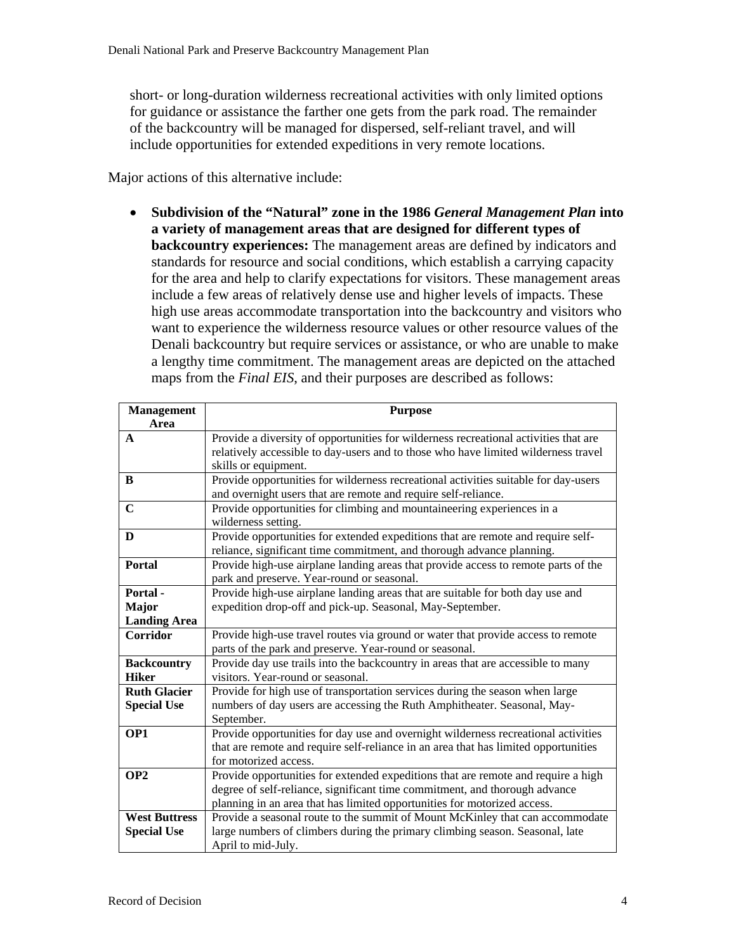short- or long-duration wilderness recreational activities with only limited options for guidance or assistance the farther one gets from the park road. The remainder of the backcountry will be managed for dispersed, self-reliant travel, and will include opportunities for extended expeditions in very remote locations.

Major actions of this alternative include:

• **Subdivision of the "Natural" zone in the 1986** *General Management Plan* **into a variety of management areas that are designed for different types of backcountry experiences:** The management areas are defined by indicators and standards for resource and social conditions, which establish a carrying capacity for the area and help to clarify expectations for visitors. These management areas include a few areas of relatively dense use and higher levels of impacts. These high use areas accommodate transportation into the backcountry and visitors who want to experience the wilderness resource values or other resource values of the Denali backcountry but require services or assistance, or who are unable to make a lengthy time commitment. The management areas are depicted on the attached maps from the *Final EIS*, and their purposes are described as follows:

| <b>Management</b>    | <b>Purpose</b>                                                                       |
|----------------------|--------------------------------------------------------------------------------------|
| Area                 |                                                                                      |
| $\mathbf{A}$         | Provide a diversity of opportunities for wilderness recreational activities that are |
|                      | relatively accessible to day-users and to those who have limited wilderness travel   |
|                      | skills or equipment.                                                                 |
| B                    | Provide opportunities for wilderness recreational activities suitable for day-users  |
|                      | and overnight users that are remote and require self-reliance.                       |
| $\mathbf C$          | Provide opportunities for climbing and mountaineering experiences in a               |
|                      | wilderness setting.                                                                  |
| D                    | Provide opportunities for extended expeditions that are remote and require self-     |
|                      | reliance, significant time commitment, and thorough advance planning.                |
| Portal               | Provide high-use airplane landing areas that provide access to remote parts of the   |
|                      | park and preserve. Year-round or seasonal.                                           |
| Portal-              | Provide high-use airplane landing areas that are suitable for both day use and       |
| <b>Major</b>         | expedition drop-off and pick-up. Seasonal, May-September.                            |
| <b>Landing Area</b>  |                                                                                      |
| <b>Corridor</b>      | Provide high-use travel routes via ground or water that provide access to remote     |
|                      | parts of the park and preserve. Year-round or seasonal.                              |
| <b>Backcountry</b>   | Provide day use trails into the backcountry in areas that are accessible to many     |
| <b>Hiker</b>         | visitors. Year-round or seasonal.                                                    |
| <b>Ruth Glacier</b>  | Provide for high use of transportation services during the season when large         |
| <b>Special Use</b>   | numbers of day users are accessing the Ruth Amphitheater. Seasonal, May-             |
|                      | September.                                                                           |
| OP1                  | Provide opportunities for day use and overnight wilderness recreational activities   |
|                      | that are remote and require self-reliance in an area that has limited opportunities  |
|                      | for motorized access.                                                                |
| OP <sub>2</sub>      | Provide opportunities for extended expeditions that are remote and require a high    |
|                      | degree of self-reliance, significant time commitment, and thorough advance           |
|                      | planning in an area that has limited opportunities for motorized access.             |
| <b>West Buttress</b> | Provide a seasonal route to the summit of Mount McKinley that can accommodate        |
| <b>Special Use</b>   | large numbers of climbers during the primary climbing season. Seasonal, late         |
|                      | April to mid-July.                                                                   |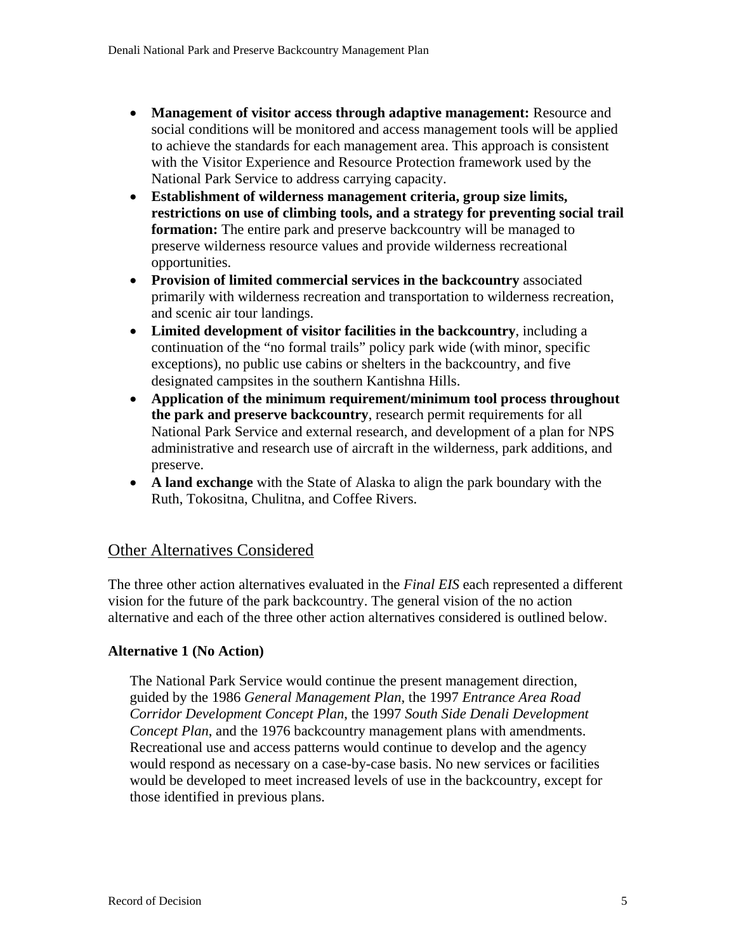- **Management of visitor access through adaptive management:** Resource and social conditions will be monitored and access management tools will be applied to achieve the standards for each management area. This approach is consistent with the Visitor Experience and Resource Protection framework used by the National Park Service to address carrying capacity.
- **Establishment of wilderness management criteria, group size limits, restrictions on use of climbing tools, and a strategy for preventing social trail formation:** The entire park and preserve backcountry will be managed to preserve wilderness resource values and provide wilderness recreational opportunities.
- **Provision of limited commercial services in the backcountry** associated primarily with wilderness recreation and transportation to wilderness recreation, and scenic air tour landings.
- **Limited development of visitor facilities in the backcountry**, including a continuation of the "no formal trails" policy park wide (with minor, specific exceptions), no public use cabins or shelters in the backcountry, and five designated campsites in the southern Kantishna Hills.
- **Application of the minimum requirement/minimum tool process throughout the park and preserve backcountry**, research permit requirements for all National Park Service and external research, and development of a plan for NPS administrative and research use of aircraft in the wilderness, park additions, and preserve.
- **A land exchange** with the State of Alaska to align the park boundary with the Ruth, Tokositna, Chulitna, and Coffee Rivers.

### Other Alternatives Considered

The three other action alternatives evaluated in the *Final EIS* each represented a different vision for the future of the park backcountry. The general vision of the no action alternative and each of the three other action alternatives considered is outlined below.

### **Alternative 1 (No Action)**

The National Park Service would continue the present management direction, guided by the 1986 *General Management Plan*, the 1997 *Entrance Area Road Corridor Development Concept Plan*, the 1997 *South Side Denali Development Concept Plan*, and the 1976 backcountry management plans with amendments. Recreational use and access patterns would continue to develop and the agency would respond as necessary on a case-by-case basis. No new services or facilities would be developed to meet increased levels of use in the backcountry, except for those identified in previous plans.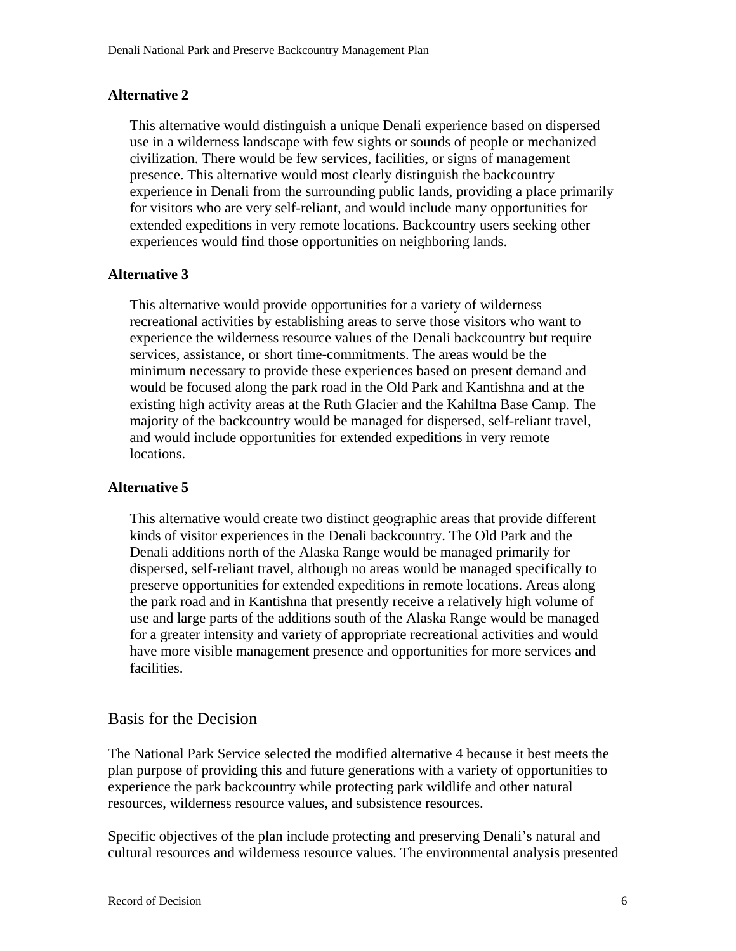#### **Alternative 2**

This alternative would distinguish a unique Denali experience based on dispersed use in a wilderness landscape with few sights or sounds of people or mechanized civilization. There would be few services, facilities, or signs of management presence. This alternative would most clearly distinguish the backcountry experience in Denali from the surrounding public lands, providing a place primarily for visitors who are very self-reliant, and would include many opportunities for extended expeditions in very remote locations. Backcountry users seeking other experiences would find those opportunities on neighboring lands.

### **Alternative 3**

This alternative would provide opportunities for a variety of wilderness recreational activities by establishing areas to serve those visitors who want to experience the wilderness resource values of the Denali backcountry but require services, assistance, or short time-commitments. The areas would be the minimum necessary to provide these experiences based on present demand and would be focused along the park road in the Old Park and Kantishna and at the existing high activity areas at the Ruth Glacier and the Kahiltna Base Camp. The majority of the backcountry would be managed for dispersed, self-reliant travel, and would include opportunities for extended expeditions in very remote locations.

### **Alternative 5**

This alternative would create two distinct geographic areas that provide different kinds of visitor experiences in the Denali backcountry. The Old Park and the Denali additions north of the Alaska Range would be managed primarily for dispersed, self-reliant travel, although no areas would be managed specifically to preserve opportunities for extended expeditions in remote locations. Areas along the park road and in Kantishna that presently receive a relatively high volume of use and large parts of the additions south of the Alaska Range would be managed for a greater intensity and variety of appropriate recreational activities and would have more visible management presence and opportunities for more services and facilities.

### Basis for the Decision

The National Park Service selected the modified alternative 4 because it best meets the plan purpose of providing this and future generations with a variety of opportunities to experience the park backcountry while protecting park wildlife and other natural resources, wilderness resource values, and subsistence resources.

Specific objectives of the plan include protecting and preserving Denali's natural and cultural resources and wilderness resource values. The environmental analysis presented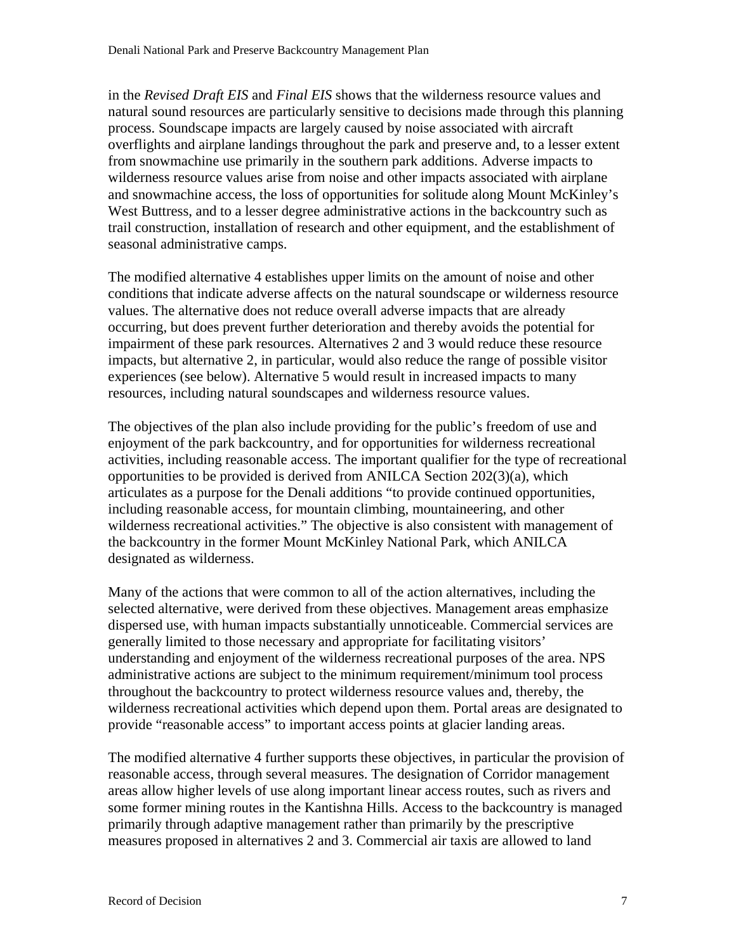in the *Revised Draft EIS* and *Final EIS* shows that the wilderness resource values and natural sound resources are particularly sensitive to decisions made through this planning process. Soundscape impacts are largely caused by noise associated with aircraft overflights and airplane landings throughout the park and preserve and, to a lesser extent from snowmachine use primarily in the southern park additions. Adverse impacts to wilderness resource values arise from noise and other impacts associated with airplane and snowmachine access, the loss of opportunities for solitude along Mount McKinley's West Buttress, and to a lesser degree administrative actions in the backcountry such as trail construction, installation of research and other equipment, and the establishment of seasonal administrative camps.

The modified alternative 4 establishes upper limits on the amount of noise and other conditions that indicate adverse affects on the natural soundscape or wilderness resource values. The alternative does not reduce overall adverse impacts that are already occurring, but does prevent further deterioration and thereby avoids the potential for impairment of these park resources. Alternatives 2 and 3 would reduce these resource impacts, but alternative 2, in particular, would also reduce the range of possible visitor experiences (see below). Alternative 5 would result in increased impacts to many resources, including natural soundscapes and wilderness resource values.

The objectives of the plan also include providing for the public's freedom of use and enjoyment of the park backcountry, and for opportunities for wilderness recreational activities, including reasonable access. The important qualifier for the type of recreational opportunities to be provided is derived from ANILCA Section 202(3)(a), which articulates as a purpose for the Denali additions "to provide continued opportunities, including reasonable access, for mountain climbing, mountaineering, and other wilderness recreational activities." The objective is also consistent with management of the backcountry in the former Mount McKinley National Park, which ANILCA designated as wilderness.

Many of the actions that were common to all of the action alternatives, including the selected alternative, were derived from these objectives. Management areas emphasize dispersed use, with human impacts substantially unnoticeable. Commercial services are generally limited to those necessary and appropriate for facilitating visitors' understanding and enjoyment of the wilderness recreational purposes of the area. NPS administrative actions are subject to the minimum requirement/minimum tool process throughout the backcountry to protect wilderness resource values and, thereby, the wilderness recreational activities which depend upon them. Portal areas are designated to provide "reasonable access" to important access points at glacier landing areas.

The modified alternative 4 further supports these objectives, in particular the provision of reasonable access, through several measures. The designation of Corridor management areas allow higher levels of use along important linear access routes, such as rivers and some former mining routes in the Kantishna Hills. Access to the backcountry is managed primarily through adaptive management rather than primarily by the prescriptive measures proposed in alternatives 2 and 3. Commercial air taxis are allowed to land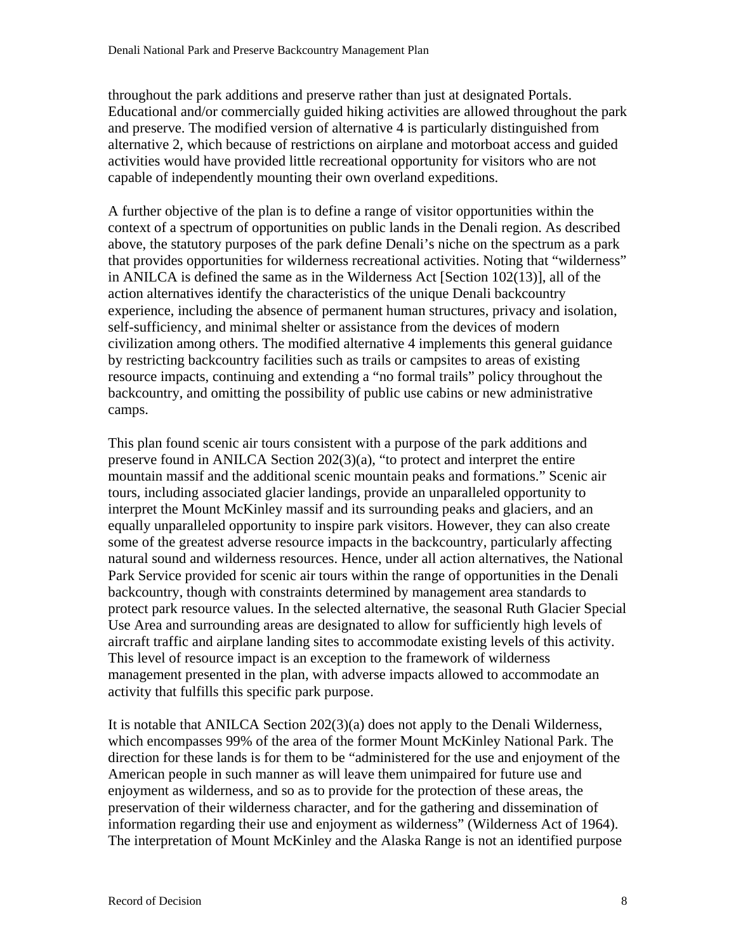throughout the park additions and preserve rather than just at designated Portals. Educational and/or commercially guided hiking activities are allowed throughout the park and preserve. The modified version of alternative 4 is particularly distinguished from alternative 2, which because of restrictions on airplane and motorboat access and guided activities would have provided little recreational opportunity for visitors who are not capable of independently mounting their own overland expeditions.

A further objective of the plan is to define a range of visitor opportunities within the context of a spectrum of opportunities on public lands in the Denali region. As described above, the statutory purposes of the park define Denali's niche on the spectrum as a park that provides opportunities for wilderness recreational activities. Noting that "wilderness" in ANILCA is defined the same as in the Wilderness Act [Section 102(13)], all of the action alternatives identify the characteristics of the unique Denali backcountry experience, including the absence of permanent human structures, privacy and isolation, self-sufficiency, and minimal shelter or assistance from the devices of modern civilization among others. The modified alternative 4 implements this general guidance by restricting backcountry facilities such as trails or campsites to areas of existing resource impacts, continuing and extending a "no formal trails" policy throughout the backcountry, and omitting the possibility of public use cabins or new administrative camps.

This plan found scenic air tours consistent with a purpose of the park additions and preserve found in ANILCA Section 202(3)(a), "to protect and interpret the entire mountain massif and the additional scenic mountain peaks and formations." Scenic air tours, including associated glacier landings, provide an unparalleled opportunity to interpret the Mount McKinley massif and its surrounding peaks and glaciers, and an equally unparalleled opportunity to inspire park visitors. However, they can also create some of the greatest adverse resource impacts in the backcountry, particularly affecting natural sound and wilderness resources. Hence, under all action alternatives, the National Park Service provided for scenic air tours within the range of opportunities in the Denali backcountry, though with constraints determined by management area standards to protect park resource values. In the selected alternative, the seasonal Ruth Glacier Special Use Area and surrounding areas are designated to allow for sufficiently high levels of aircraft traffic and airplane landing sites to accommodate existing levels of this activity. This level of resource impact is an exception to the framework of wilderness management presented in the plan, with adverse impacts allowed to accommodate an activity that fulfills this specific park purpose.

It is notable that ANILCA Section 202(3)(a) does not apply to the Denali Wilderness, which encompasses 99% of the area of the former Mount McKinley National Park. The direction for these lands is for them to be "administered for the use and enjoyment of the American people in such manner as will leave them unimpaired for future use and enjoyment as wilderness, and so as to provide for the protection of these areas, the preservation of their wilderness character, and for the gathering and dissemination of information regarding their use and enjoyment as wilderness" (Wilderness Act of 1964). The interpretation of Mount McKinley and the Alaska Range is not an identified purpose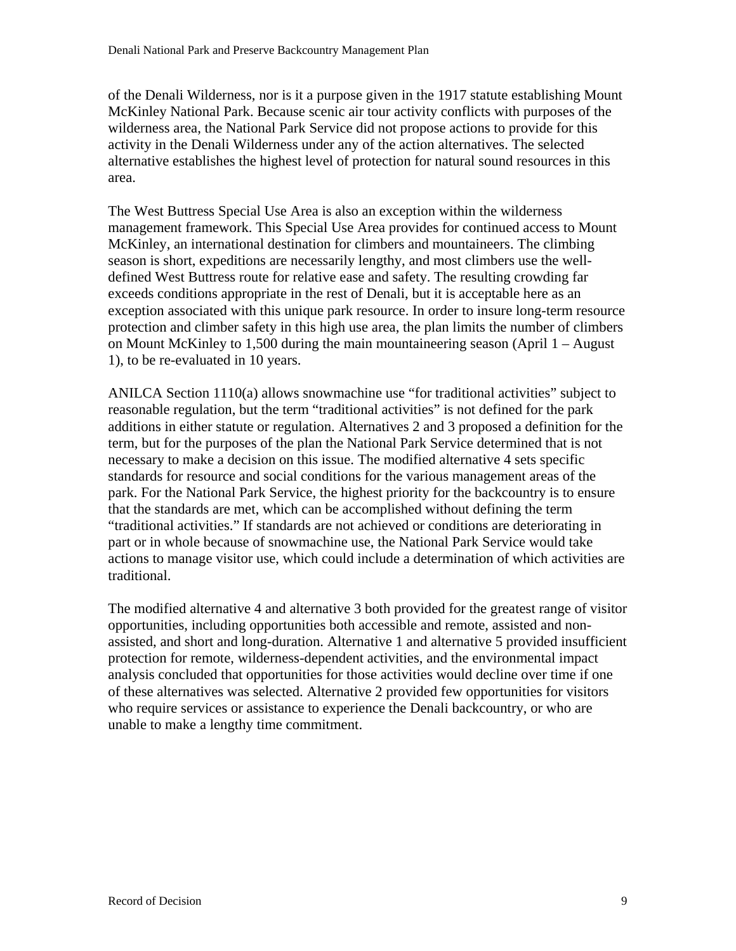of the Denali Wilderness, nor is it a purpose given in the 1917 statute establishing Mount McKinley National Park. Because scenic air tour activity conflicts with purposes of the wilderness area, the National Park Service did not propose actions to provide for this activity in the Denali Wilderness under any of the action alternatives. The selected alternative establishes the highest level of protection for natural sound resources in this area.

The West Buttress Special Use Area is also an exception within the wilderness management framework. This Special Use Area provides for continued access to Mount McKinley, an international destination for climbers and mountaineers. The climbing season is short, expeditions are necessarily lengthy, and most climbers use the welldefined West Buttress route for relative ease and safety. The resulting crowding far exceeds conditions appropriate in the rest of Denali, but it is acceptable here as an exception associated with this unique park resource. In order to insure long-term resource protection and climber safety in this high use area, the plan limits the number of climbers on Mount McKinley to 1,500 during the main mountaineering season (April 1 – August 1), to be re-evaluated in 10 years.

ANILCA Section 1110(a) allows snowmachine use "for traditional activities" subject to reasonable regulation, but the term "traditional activities" is not defined for the park additions in either statute or regulation. Alternatives 2 and 3 proposed a definition for the term, but for the purposes of the plan the National Park Service determined that is not necessary to make a decision on this issue. The modified alternative 4 sets specific standards for resource and social conditions for the various management areas of the park. For the National Park Service, the highest priority for the backcountry is to ensure that the standards are met, which can be accomplished without defining the term "traditional activities." If standards are not achieved or conditions are deteriorating in part or in whole because of snowmachine use, the National Park Service would take actions to manage visitor use, which could include a determination of which activities are traditional.

The modified alternative 4 and alternative 3 both provided for the greatest range of visitor opportunities, including opportunities both accessible and remote, assisted and nonassisted, and short and long-duration. Alternative 1 and alternative 5 provided insufficient protection for remote, wilderness-dependent activities, and the environmental impact analysis concluded that opportunities for those activities would decline over time if one of these alternatives was selected. Alternative 2 provided few opportunities for visitors who require services or assistance to experience the Denali backcountry, or who are unable to make a lengthy time commitment.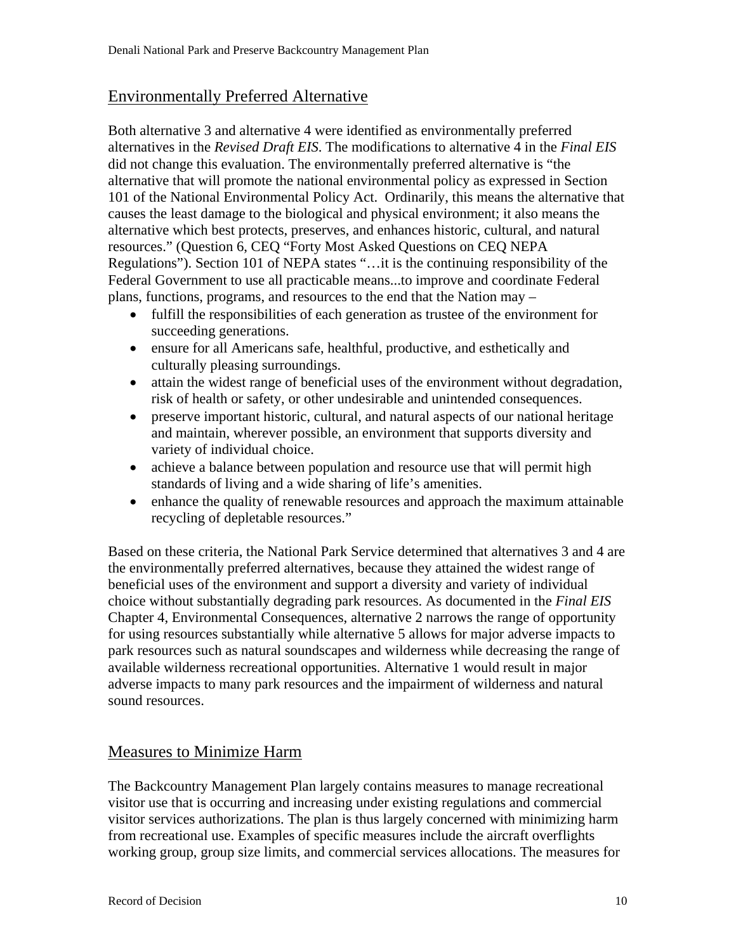# Environmentally Preferred Alternative

Both alternative 3 and alternative 4 were identified as environmentally preferred alternatives in the *Revised Draft EIS*. The modifications to alternative 4 in the *Final EIS*  did not change this evaluation. The environmentally preferred alternative is "the alternative that will promote the national environmental policy as expressed in Section 101 of the National Environmental Policy Act. Ordinarily, this means the alternative that causes the least damage to the biological and physical environment; it also means the alternative which best protects, preserves, and enhances historic, cultural, and natural resources." (Question 6, CEQ "Forty Most Asked Questions on CEQ NEPA Regulations"). Section 101 of NEPA states "…it is the continuing responsibility of the Federal Government to use all practicable means...to improve and coordinate Federal plans, functions, programs, and resources to the end that the Nation may –

- fulfill the responsibilities of each generation as trustee of the environment for succeeding generations.
- ensure for all Americans safe, healthful, productive, and esthetically and culturally pleasing surroundings.
- attain the widest range of beneficial uses of the environment without degradation, risk of health or safety, or other undesirable and unintended consequences.
- preserve important historic, cultural, and natural aspects of our national heritage and maintain, wherever possible, an environment that supports diversity and variety of individual choice.
- achieve a balance between population and resource use that will permit high standards of living and a wide sharing of life's amenities.
- enhance the quality of renewable resources and approach the maximum attainable recycling of depletable resources."

Based on these criteria, the National Park Service determined that alternatives 3 and 4 are the environmentally preferred alternatives, because they attained the widest range of beneficial uses of the environment and support a diversity and variety of individual choice without substantially degrading park resources. As documented in the *Final EIS*  Chapter 4, Environmental Consequences, alternative 2 narrows the range of opportunity for using resources substantially while alternative 5 allows for major adverse impacts to park resources such as natural soundscapes and wilderness while decreasing the range of available wilderness recreational opportunities. Alternative 1 would result in major adverse impacts to many park resources and the impairment of wilderness and natural sound resources.

# Measures to Minimize Harm

The Backcountry Management Plan largely contains measures to manage recreational visitor use that is occurring and increasing under existing regulations and commercial visitor services authorizations. The plan is thus largely concerned with minimizing harm from recreational use. Examples of specific measures include the aircraft overflights working group, group size limits, and commercial services allocations. The measures for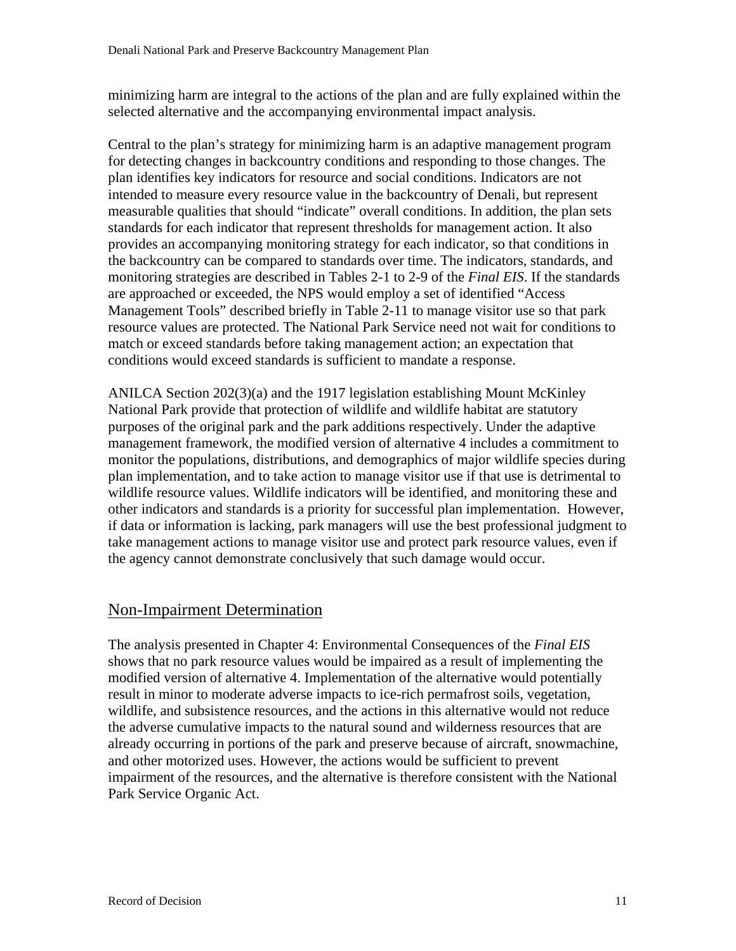minimizing harm are integral to the actions of the plan and are fully explained within the selected alternative and the accompanying environmental impact analysis.

Central to the plan's strategy for minimizing harm is an adaptive management program for detecting changes in backcountry conditions and responding to those changes. The plan identifies key indicators for resource and social conditions. Indicators are not intended to measure every resource value in the backcountry of Denali, but represent measurable qualities that should "indicate" overall conditions. In addition, the plan sets standards for each indicator that represent thresholds for management action. It also provides an accompanying monitoring strategy for each indicator, so that conditions in the backcountry can be compared to standards over time. The indicators, standards, and monitoring strategies are described in Tables 2-1 to 2-9 of the *Final EIS*. If the standards are approached or exceeded, the NPS would employ a set of identified "Access Management Tools" described briefly in Table 2-11 to manage visitor use so that park resource values are protected. The National Park Service need not wait for conditions to match or exceed standards before taking management action; an expectation that conditions would exceed standards is sufficient to mandate a response.

ANILCA Section 202(3)(a) and the 1917 legislation establishing Mount McKinley National Park provide that protection of wildlife and wildlife habitat are statutory purposes of the original park and the park additions respectively. Under the adaptive management framework, the modified version of alternative 4 includes a commitment to monitor the populations, distributions, and demographics of major wildlife species during plan implementation, and to take action to manage visitor use if that use is detrimental to wildlife resource values. Wildlife indicators will be identified, and monitoring these and other indicators and standards is a priority for successful plan implementation. However, if data or information is lacking, park managers will use the best professional judgment to take management actions to manage visitor use and protect park resource values, even if the agency cannot demonstrate conclusively that such damage would occur.

# Non-Impairment Determination

The analysis presented in Chapter 4: Environmental Consequences of the *Final EIS*  shows that no park resource values would be impaired as a result of implementing the modified version of alternative 4. Implementation of the alternative would potentially result in minor to moderate adverse impacts to ice-rich permafrost soils, vegetation, wildlife, and subsistence resources, and the actions in this alternative would not reduce the adverse cumulative impacts to the natural sound and wilderness resources that are already occurring in portions of the park and preserve because of aircraft, snowmachine, and other motorized uses. However, the actions would be sufficient to prevent impairment of the resources, and the alternative is therefore consistent with the National Park Service Organic Act.